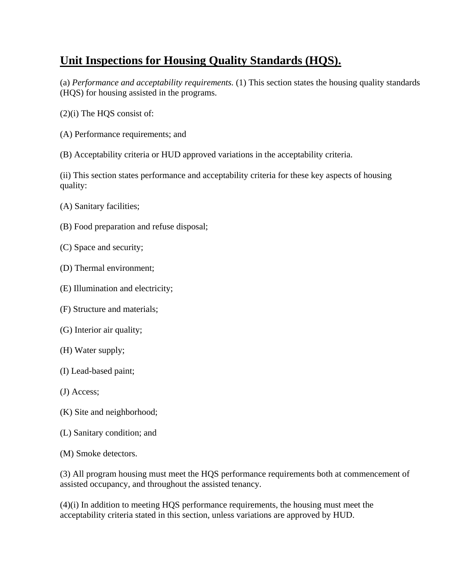## **Unit Inspections for Housing Quality Standards (HQS).**

(a) *Performance and acceptability requirements.* (1) This section states the housing quality standards (HQS) for housing assisted in the programs.

- (2)(i) The HQS consist of:
- (A) Performance requirements; and
- (B) Acceptability criteria or HUD approved variations in the acceptability criteria.

(ii) This section states performance and acceptability criteria for these key aspects of housing quality:

- (A) Sanitary facilities;
- (B) Food preparation and refuse disposal;
- (C) Space and security;
- (D) Thermal environment;
- (E) Illumination and electricity;
- (F) Structure and materials;
- (G) Interior air quality;
- (H) Water supply;
- (I) Lead-based paint;
- (J) Access;
- (K) Site and neighborhood;
- (L) Sanitary condition; and
- (M) Smoke detectors.

(3) All program housing must meet the HQS performance requirements both at commencement of assisted occupancy, and throughout the assisted tenancy.

(4)(i) In addition to meeting HQS performance requirements, the housing must meet the acceptability criteria stated in this section, unless variations are approved by HUD.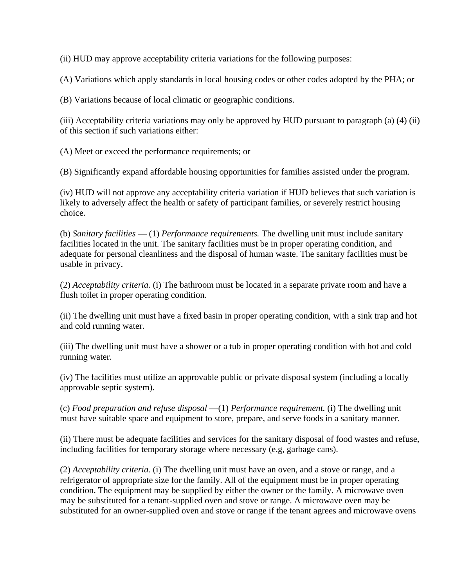(ii) HUD may approve acceptability criteria variations for the following purposes:

(A) Variations which apply standards in local housing codes or other codes adopted by the PHA; or

(B) Variations because of local climatic or geographic conditions.

(iii) Acceptability criteria variations may only be approved by HUD pursuant to paragraph (a) (4) (ii) of this section if such variations either:

(A) Meet or exceed the performance requirements; or

(B) Significantly expand affordable housing opportunities for families assisted under the program.

(iv) HUD will not approve any acceptability criteria variation if HUD believes that such variation is likely to adversely affect the health or safety of participant families, or severely restrict housing choice.

(b) *Sanitary facilities* — (1) *Performance requirements.* The dwelling unit must include sanitary facilities located in the unit. The sanitary facilities must be in proper operating condition, and adequate for personal cleanliness and the disposal of human waste. The sanitary facilities must be usable in privacy.

(2) *Acceptability criteria.* (i) The bathroom must be located in a separate private room and have a flush toilet in proper operating condition.

(ii) The dwelling unit must have a fixed basin in proper operating condition, with a sink trap and hot and cold running water.

(iii) The dwelling unit must have a shower or a tub in proper operating condition with hot and cold running water.

(iv) The facilities must utilize an approvable public or private disposal system (including a locally approvable septic system).

(c) *Food preparation and refuse disposal* —(1) *Performance requirement.* (i) The dwelling unit must have suitable space and equipment to store, prepare, and serve foods in a sanitary manner.

(ii) There must be adequate facilities and services for the sanitary disposal of food wastes and refuse, including facilities for temporary storage where necessary (e.g, garbage cans).

(2) *Acceptability criteria.* (i) The dwelling unit must have an oven, and a stove or range, and a refrigerator of appropriate size for the family. All of the equipment must be in proper operating condition. The equipment may be supplied by either the owner or the family. A microwave oven may be substituted for a tenant-supplied oven and stove or range. A microwave oven may be substituted for an owner-supplied oven and stove or range if the tenant agrees and microwave ovens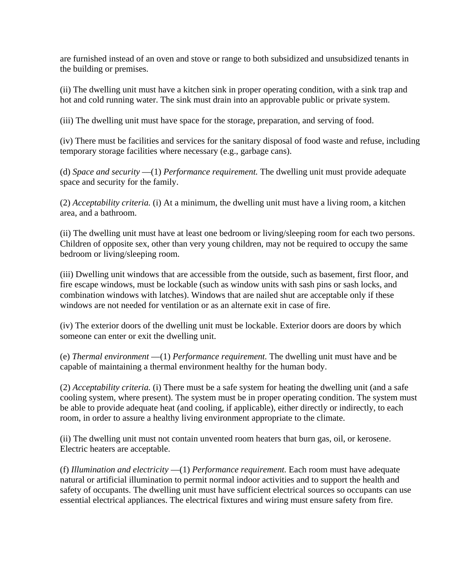are furnished instead of an oven and stove or range to both subsidized and unsubsidized tenants in the building or premises.

(ii) The dwelling unit must have a kitchen sink in proper operating condition, with a sink trap and hot and cold running water. The sink must drain into an approvable public or private system.

(iii) The dwelling unit must have space for the storage, preparation, and serving of food.

(iv) There must be facilities and services for the sanitary disposal of food waste and refuse, including temporary storage facilities where necessary (e.g., garbage cans).

(d) *Space and security* —(1) *Performance requirement.* The dwelling unit must provide adequate space and security for the family.

(2) *Acceptability criteria.* (i) At a minimum, the dwelling unit must have a living room, a kitchen area, and a bathroom.

(ii) The dwelling unit must have at least one bedroom or living/sleeping room for each two persons. Children of opposite sex, other than very young children, may not be required to occupy the same bedroom or living/sleeping room.

(iii) Dwelling unit windows that are accessible from the outside, such as basement, first floor, and fire escape windows, must be lockable (such as window units with sash pins or sash locks, and combination windows with latches). Windows that are nailed shut are acceptable only if these windows are not needed for ventilation or as an alternate exit in case of fire.

(iv) The exterior doors of the dwelling unit must be lockable. Exterior doors are doors by which someone can enter or exit the dwelling unit.

(e) *Thermal environment* —(1) *Performance requirement.* The dwelling unit must have and be capable of maintaining a thermal environment healthy for the human body.

(2) *Acceptability criteria.* (i) There must be a safe system for heating the dwelling unit (and a safe cooling system, where present). The system must be in proper operating condition. The system must be able to provide adequate heat (and cooling, if applicable), either directly or indirectly, to each room, in order to assure a healthy living environment appropriate to the climate.

(ii) The dwelling unit must not contain unvented room heaters that burn gas, oil, or kerosene. Electric heaters are acceptable.

(f) *Illumination and electricity* —(1) *Performance requirement.* Each room must have adequate natural or artificial illumination to permit normal indoor activities and to support the health and safety of occupants. The dwelling unit must have sufficient electrical sources so occupants can use essential electrical appliances. The electrical fixtures and wiring must ensure safety from fire.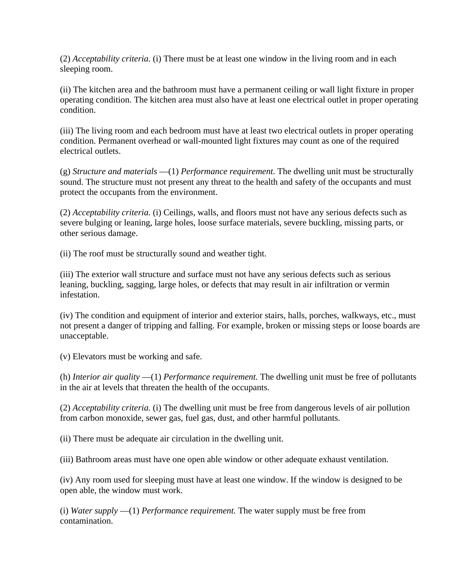(2) *Acceptability criteria.* (i) There must be at least one window in the living room and in each sleeping room.

(ii) The kitchen area and the bathroom must have a permanent ceiling or wall light fixture in proper operating condition. The kitchen area must also have at least one electrical outlet in proper operating condition.

(iii) The living room and each bedroom must have at least two electrical outlets in proper operating condition. Permanent overhead or wall-mounted light fixtures may count as one of the required electrical outlets.

(g) *Structure and materials* —(1) *Performance requirement.* The dwelling unit must be structurally sound. The structure must not present any threat to the health and safety of the occupants and must protect the occupants from the environment.

(2) *Acceptability criteria.* (i) Ceilings, walls, and floors must not have any serious defects such as severe bulging or leaning, large holes, loose surface materials, severe buckling, missing parts, or other serious damage.

(ii) The roof must be structurally sound and weather tight.

(iii) The exterior wall structure and surface must not have any serious defects such as serious leaning, buckling, sagging, large holes, or defects that may result in air infiltration or vermin infestation.

(iv) The condition and equipment of interior and exterior stairs, halls, porches, walkways, etc., must not present a danger of tripping and falling. For example, broken or missing steps or loose boards are unacceptable.

(v) Elevators must be working and safe.

(h) *Interior air quality* —(1) *Performance requirement.* The dwelling unit must be free of pollutants in the air at levels that threaten the health of the occupants.

(2) *Acceptability criteria.* (i) The dwelling unit must be free from dangerous levels of air pollution from carbon monoxide, sewer gas, fuel gas, dust, and other harmful pollutants.

(ii) There must be adequate air circulation in the dwelling unit.

(iii) Bathroom areas must have one open able window or other adequate exhaust ventilation.

(iv) Any room used for sleeping must have at least one window. If the window is designed to be open able, the window must work.

(i) *Water supply* —(1) *Performance requirement.* The water supply must be free from contamination.